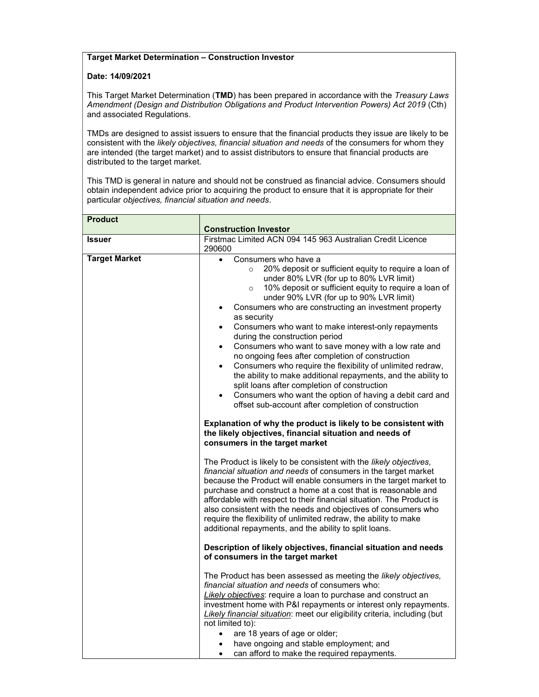## Target Market Determination – Construction Investor

## Date: 14/09/2021

This Target Market Determination (TMD) has been prepared in accordance with the Treasury Laws Amendment (Design and Distribution Obligations and Product Intervention Powers) Act 2019 (Cth) and associated Regulations.

TMDs are designed to assist issuers to ensure that the financial products they issue are likely to be consistent with the likely objectives, financial situation and needs of the consumers for whom they are intended (the target market) and to assist distributors to ensure that financial products are distributed to the target market.

This TMD is general in nature and should not be construed as financial advice. Consumers should obtain independent advice prior to acquiring the product to ensure that it is appropriate for their particular objectives, financial situation and needs.

| <b>Product</b>       | <b>Construction Investor</b>                                                                                                                                                                                                                                                                                                                                                                                                                                                                                                                                                                                                                                                                                                                                                                                                                                                                                                                                                                                                                                                                                                                                                                                                                                                                                                                                                                                                                                                                                                                                                                                                                                                                                                                   |
|----------------------|------------------------------------------------------------------------------------------------------------------------------------------------------------------------------------------------------------------------------------------------------------------------------------------------------------------------------------------------------------------------------------------------------------------------------------------------------------------------------------------------------------------------------------------------------------------------------------------------------------------------------------------------------------------------------------------------------------------------------------------------------------------------------------------------------------------------------------------------------------------------------------------------------------------------------------------------------------------------------------------------------------------------------------------------------------------------------------------------------------------------------------------------------------------------------------------------------------------------------------------------------------------------------------------------------------------------------------------------------------------------------------------------------------------------------------------------------------------------------------------------------------------------------------------------------------------------------------------------------------------------------------------------------------------------------------------------------------------------------------------------|
| Issuer               | Firstmac Limited ACN 094 145 963 Australian Credit Licence<br>290600                                                                                                                                                                                                                                                                                                                                                                                                                                                                                                                                                                                                                                                                                                                                                                                                                                                                                                                                                                                                                                                                                                                                                                                                                                                                                                                                                                                                                                                                                                                                                                                                                                                                           |
| <b>Target Market</b> | Consumers who have a<br>$\bullet$<br>20% deposit or sufficient equity to require a loan of<br>$\circ$<br>under 80% LVR (for up to 80% LVR limit)<br>10% deposit or sufficient equity to require a loan of<br>$\circ$<br>under 90% LVR (for up to 90% LVR limit)<br>Consumers who are constructing an investment property<br>$\bullet$<br>as security<br>Consumers who want to make interest-only repayments<br>$\bullet$<br>during the construction period<br>Consumers who want to save money with a low rate and<br>$\bullet$<br>no ongoing fees after completion of construction<br>Consumers who require the flexibility of unlimited redraw,<br>$\bullet$<br>the ability to make additional repayments, and the ability to<br>split loans after completion of construction<br>Consumers who want the option of having a debit card and<br>$\bullet$<br>offset sub-account after completion of construction<br>Explanation of why the product is likely to be consistent with<br>the likely objectives, financial situation and needs of<br>consumers in the target market<br>The Product is likely to be consistent with the likely objectives,<br>financial situation and needs of consumers in the target market<br>because the Product will enable consumers in the target market to<br>purchase and construct a home at a cost that is reasonable and<br>affordable with respect to their financial situation. The Product is<br>also consistent with the needs and objectives of consumers who<br>require the flexibility of unlimited redraw, the ability to make<br>additional repayments, and the ability to split loans.<br>Description of likely objectives, financial situation and needs<br>of consumers in the target market |
|                      | The Product has been assessed as meeting the likely objectives,<br>financial situation and needs of consumers who:<br>Likely objectives: require a loan to purchase and construct an<br>investment home with P&I repayments or interest only repayments.<br>Likely financial situation: meet our eligibility criteria, including (but                                                                                                                                                                                                                                                                                                                                                                                                                                                                                                                                                                                                                                                                                                                                                                                                                                                                                                                                                                                                                                                                                                                                                                                                                                                                                                                                                                                                          |
|                      | not limited to):<br>are 18 years of age or older;<br>$\bullet$<br>have ongoing and stable employment; and<br>can afford to make the required repayments.<br>$\bullet$                                                                                                                                                                                                                                                                                                                                                                                                                                                                                                                                                                                                                                                                                                                                                                                                                                                                                                                                                                                                                                                                                                                                                                                                                                                                                                                                                                                                                                                                                                                                                                          |